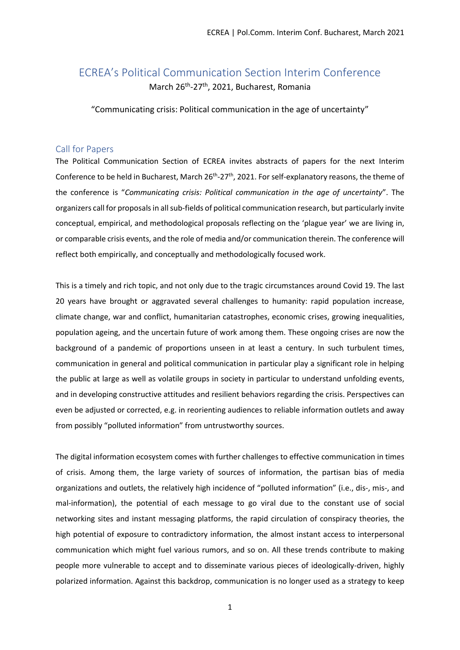# ECREA's Political Communication Section Interim Conference March 26<sup>th</sup>-27<sup>th</sup>, 2021, Bucharest, Romania

"Communicating crisis: Political communication in the age of uncertainty"

## Call for Papers

The Political Communication Section of ECREA invites abstracts of papers for the next Interim Conference to be held in Bucharest, March  $26<sup>th</sup> - 27<sup>th</sup>$ , 2021. For self-explanatory reasons, the theme of the conference is "*Communicating crisis: Political communication in the age of uncertainty*". The organizers call for proposals in all sub-fields of political communication research, but particularly invite conceptual, empirical, and methodological proposals reflecting on the 'plague year' we are living in, or comparable crisis events, and the role of media and/or communication therein. The conference will reflect both empirically, and conceptually and methodologically focused work.

This is a timely and rich topic, and not only due to the tragic circumstances around Covid 19. The last 20 years have brought or aggravated several challenges to humanity: rapid population increase, climate change, war and conflict, humanitarian catastrophes, economic crises, growing inequalities, population ageing, and the uncertain future of work among them. These ongoing crises are now the background of a pandemic of proportions unseen in at least a century. In such turbulent times, communication in general and political communication in particular play a significant role in helping the public at large as well as volatile groups in society in particular to understand unfolding events, and in developing constructive attitudes and resilient behaviors regarding the crisis. Perspectives can even be adjusted or corrected, e.g. in reorienting audiences to reliable information outlets and away from possibly "polluted information" from untrustworthy sources.

The digital information ecosystem comes with further challenges to effective communication in times of crisis. Among them, the large variety of sources of information, the partisan bias of media organizations and outlets, the relatively high incidence of "polluted information" (i.e., dis-, mis-, and mal-information), the potential of each message to go viral due to the constant use of social networking sites and instant messaging platforms, the rapid circulation of conspiracy theories, the high potential of exposure to contradictory information, the almost instant access to interpersonal communication which might fuel various rumors, and so on. All these trends contribute to making people more vulnerable to accept and to disseminate various pieces of ideologically-driven, highly polarized information. Against this backdrop, communication is no longer used as a strategy to keep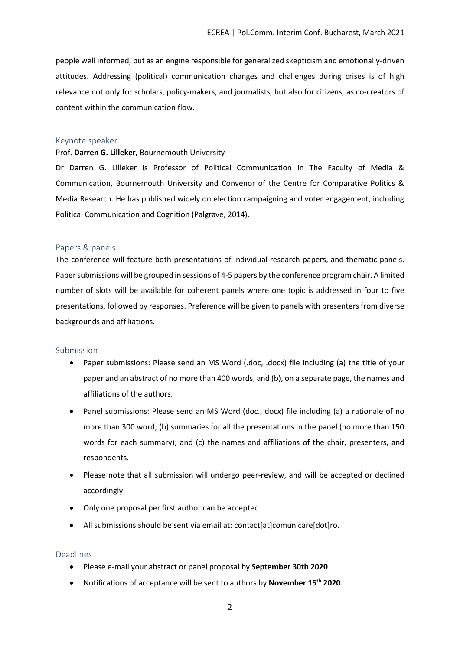people well informed, but as an engine responsible for generalized skepticism and emotionally-driven attitudes. Addressing (political) communication changes and challenges during crises is of high relevance not only for scholars, policy-makers, and journalists, but also for citizens, as co-creators of content within the communication flow.

#### Keynote speaker

#### Prof. **Darren G. Lilleker,** Bournemouth University

Dr Darren G. Lilleker is Professor of Political Communication in The Faculty of Media & Communication, Bournemouth University and Convenor of the Centre for Comparative Politics & Media Research. He has published widely on election campaigning and voter engagement, including Political Communication and Cognition (Palgrave, 2014).

#### Papers & panels

The conference will feature both presentations of individual research papers, and thematic panels. Paper submissions will be grouped in sessions of 4-5 papers by the conference program chair. A limited number of slots will be available for coherent panels where one topic is addressed in four to five presentations, followed by responses. Preference will be given to panels with presenters from diverse backgrounds and affiliations.

### Submission

- Paper submissions: Please send an MS Word (.doc, .docx) file including (a) the title of your paper and an abstract of no more than 400 words, and (b), on a separate page, the names and affiliations of the authors.
- Panel submissions: Please send an MS Word (doc., docx) file including (a) a rationale of no more than 300 word; (b) summaries for all the presentations in the panel (no more than 150 words for each summary); and (c) the names and affiliations of the chair, presenters, and respondents.
- Please note that all submission will undergo peer-review, and will be accepted or declined accordingly.
- Only one proposal per first author can be accepted.
- All submissions should be sent via email at: contact[at]comunicare[dot]ro.

### Deadlines

- Please e-mail your abstract or panel proposal by **September 30th 2020**.
- Notifications of acceptance will be sent to authors by **November 15th 2020**.